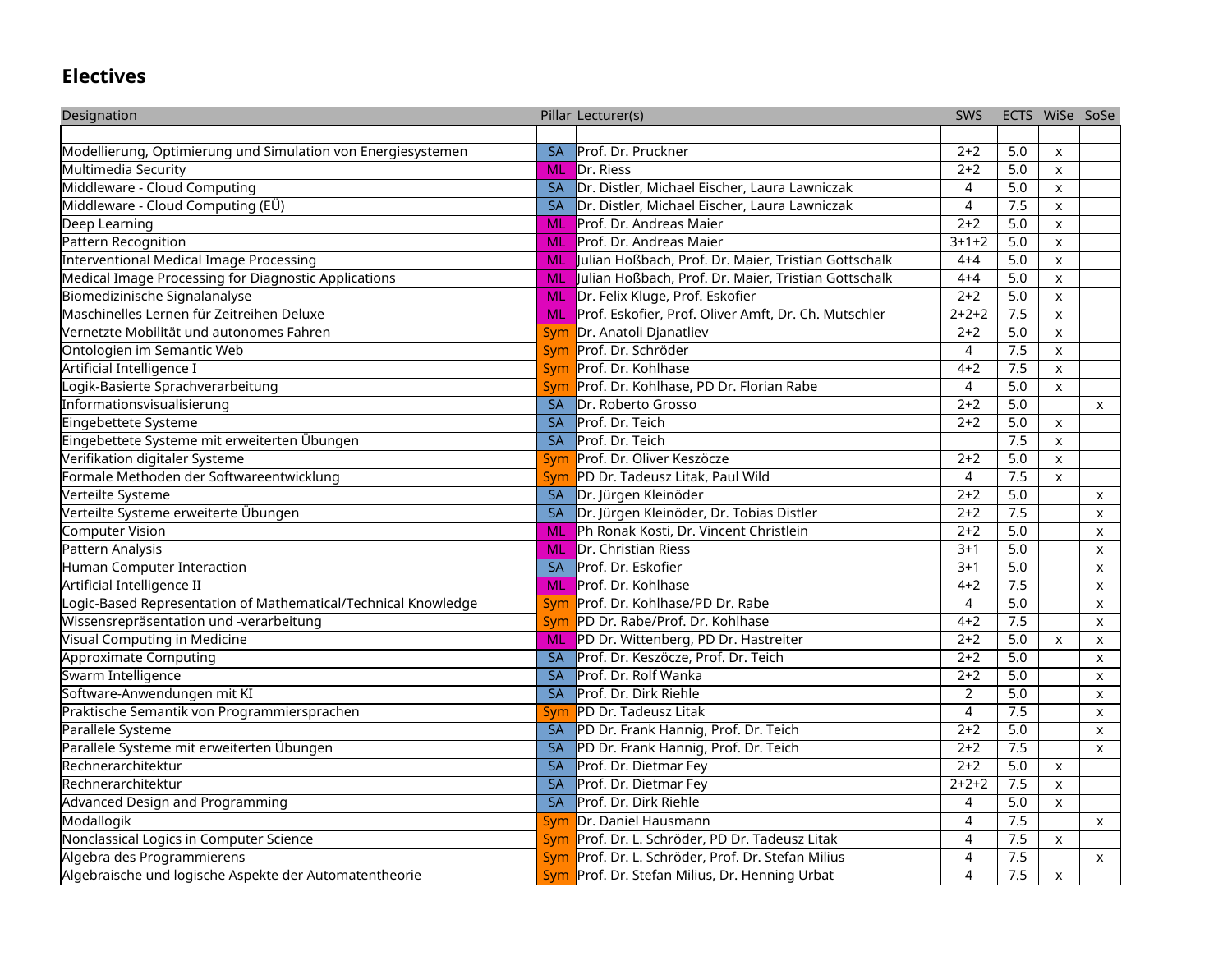## **Electives**

| Designation                                                    |           | Pillar Lecturer(s)                                   | <b>SWS</b>     |     | ECTS WiSe SoSe |                           |
|----------------------------------------------------------------|-----------|------------------------------------------------------|----------------|-----|----------------|---------------------------|
|                                                                |           |                                                      |                |     |                |                           |
| Modellierung, Optimierung und Simulation von Energiesystemen   | <b>SA</b> | Prof. Dr. Pruckner                                   | $2 + 2$        | 5.0 | X              |                           |
| Multimedia Security                                            | ML        | Dr. Riess                                            | $2+2$          | 5.0 | X              |                           |
| Middleware - Cloud Computing                                   | <b>SA</b> | Dr. Distler, Michael Eischer, Laura Lawniczak        | 4              | 5.0 | $\mathsf{x}$   |                           |
| Middleware - Cloud Computing (EÜ)                              | <b>SA</b> | Dr. Distler, Michael Eischer, Laura Lawniczak        | 4              | 7.5 | X              |                           |
| Deep Learning                                                  | ML        | Prof. Dr. Andreas Maier                              | $2 + 2$        | 5.0 | $\mathsf{x}$   |                           |
| Pattern Recognition                                            | ML        | Prof. Dr. Andreas Maier                              | $3 + 1 + 2$    | 5.0 | X              |                           |
| Interventional Medical Image Processing                        | ML        | Julian Hoßbach, Prof. Dr. Maier, Tristian Gottschalk | $4 + 4$        | 5.0 | $\mathsf{x}$   |                           |
| Medical Image Processing for Diagnostic Applications           | ML        | Julian Hoßbach, Prof. Dr. Maier, Tristian Gottschalk | $4 + 4$        | 5.0 | X              |                           |
| Biomedizinische Signalanalyse                                  | ML        | Dr. Felix Kluge, Prof. Eskofier                      | $2 + 2$        | 5.0 | $\mathsf{x}$   |                           |
| Maschinelles Lernen für Zeitreihen Deluxe                      | <b>ML</b> | Prof. Eskofier, Prof. Oliver Amft, Dr. Ch. Mutschler | $2+2+2$        | 7.5 | X              |                           |
| Vernetzte Mobilität und autonomes Fahren                       | Sym       | Dr. Anatoli Djanatliev                               | $2 + 2$        | 5.0 | X              |                           |
| Ontologien im Semantic Web                                     | Sym       | Prof. Dr. Schröder                                   | 4              | 7.5 | X              |                           |
| Artificial Intelligence I                                      | Sym       | Prof. Dr. Kohlhase                                   | $4 + 2$        | 7.5 | $\mathsf{x}$   |                           |
| Logik-Basierte Sprachverarbeitung                              | Sym       | Prof. Dr. Kohlhase, PD Dr. Florian Rabe              | 4              | 5.0 | X              |                           |
| Informationsvisualisierung                                     | <b>SA</b> | Dr. Roberto Grosso                                   | $2 + 2$        | 5.0 |                | $\mathsf{x}$              |
| Eingebettete Systeme                                           | <b>SA</b> | Prof. Dr. Teich                                      | $2 + 2$        | 5.0 | X              |                           |
| Eingebettete Systeme mit erweiterten Übungen                   | <b>SA</b> | Prof. Dr. Teich                                      |                | 7.5 | $\mathsf{x}$   |                           |
| Verifikation digitaler Systeme                                 | Sym       | Prof. Dr. Oliver Keszöcze                            | $2 + 2$        | 5.0 | X              |                           |
| Formale Methoden der Softwareentwicklung                       | Sym       | PD Dr. Tadeusz Litak, Paul Wild                      | 4              | 7.5 | $\mathsf{X}$   |                           |
| Verteilte Systeme                                              | <b>SA</b> | Dr. Jürgen Kleinöder                                 | $2 + 2$        | 5.0 |                | $\boldsymbol{\mathsf{x}}$ |
| Verteilte Systeme erweiterte Übungen                           | <b>SA</b> | Dr. Jürgen Kleinöder, Dr. Tobias Distler             | $2 + 2$        | 7.5 |                | $\mathsf{x}$              |
| Computer Vision                                                | ML        | Ph Ronak Kosti, Dr. Vincent Christlein               | $2 + 2$        | 5.0 |                | $\mathsf{x}$              |
| Pattern Analysis                                               | ML        | Dr. Christian Riess                                  | $3 + 1$        | 5.0 |                | X                         |
| Human Computer Interaction                                     | <b>SA</b> | Prof. Dr. Eskofier                                   | $3 + 1$        | 5.0 |                | $\mathsf{x}$              |
| Artificial Intelligence II                                     | ML        | Prof. Dr. Kohlhase                                   | $4 + 2$        | 7.5 |                | $\mathsf{x}$              |
| Logic-Based Representation of Mathematical/Technical Knowledge | Sym       | Prof. Dr. Kohlhase/PD Dr. Rabe                       | 4              | 5.0 |                | X                         |
| Wissensrepräsentation und -verarbeitung                        | Sym       | PD Dr. Rabe/Prof. Dr. Kohlhase                       | $4 + 2$        | 7.5 |                | $\mathsf{x}$              |
| Visual Computing in Medicine                                   | <b>ML</b> | PD Dr. Wittenberg, PD Dr. Hastreiter                 | $2 + 2$        | 5.0 | X              | X                         |
| Approximate Computing                                          | <b>SA</b> | Prof. Dr. Keszöcze, Prof. Dr. Teich                  | $2 + 2$        | 5.0 |                | $\mathsf{X}$              |
| Swarm Intelligence                                             | <b>SA</b> | Prof. Dr. Rolf Wanka                                 | $2 + 2$        | 5.0 |                | $\mathsf{x}$              |
| Software-Anwendungen mit KI                                    | <b>SA</b> | Prof. Dr. Dirk Riehle                                | $\overline{2}$ | 5.0 |                | X.                        |
| Praktische Semantik von Programmiersprachen                    | Sym       | PD Dr. Tadeusz Litak                                 | $\overline{4}$ | 7.5 |                | $\mathsf{x}$              |
| Parallele Systeme                                              | <b>SA</b> | PD Dr. Frank Hannig, Prof. Dr. Teich                 | $2 + 2$        | 5.0 |                | X.                        |
| Parallele Systeme mit erweiterten Übungen                      | <b>SA</b> | PD Dr. Frank Hannig, Prof. Dr. Teich                 | $2 + 2$        | 7.5 |                | $\boldsymbol{\mathsf{x}}$ |
| Rechnerarchitektur                                             | <b>SA</b> | Prof. Dr. Dietmar Fey                                | $2 + 2$        | 5.0 | X              |                           |
| Rechnerarchitektur                                             | <b>SA</b> | Prof. Dr. Dietmar Fey                                | $2+2+2$        | 7.5 | X              |                           |
| Advanced Design and Programming                                | <b>SA</b> | Prof. Dr. Dirk Riehle                                | 4              | 5.0 | $\mathsf{X}$   |                           |
| Modallogik                                                     | Sym       | Dr. Daniel Hausmann                                  | 4              | 7.5 |                | $\mathsf{x}$              |
| Nonclassical Logics in Computer Science                        | Sym       | Prof. Dr. L. Schröder, PD Dr. Tadeusz Litak          | 4              | 7.5 | X              |                           |
| Algebra des Programmierens                                     | Sym       | Prof. Dr. L. Schröder, Prof. Dr. Stefan Milius       | 4              | 7.5 |                | $\mathsf{x}$              |
| Algebraische und logische Aspekte der Automatentheorie         | Sym       | Prof. Dr. Stefan Milius, Dr. Henning Urbat           | 4              | 7.5 | $\mathsf{X}$   |                           |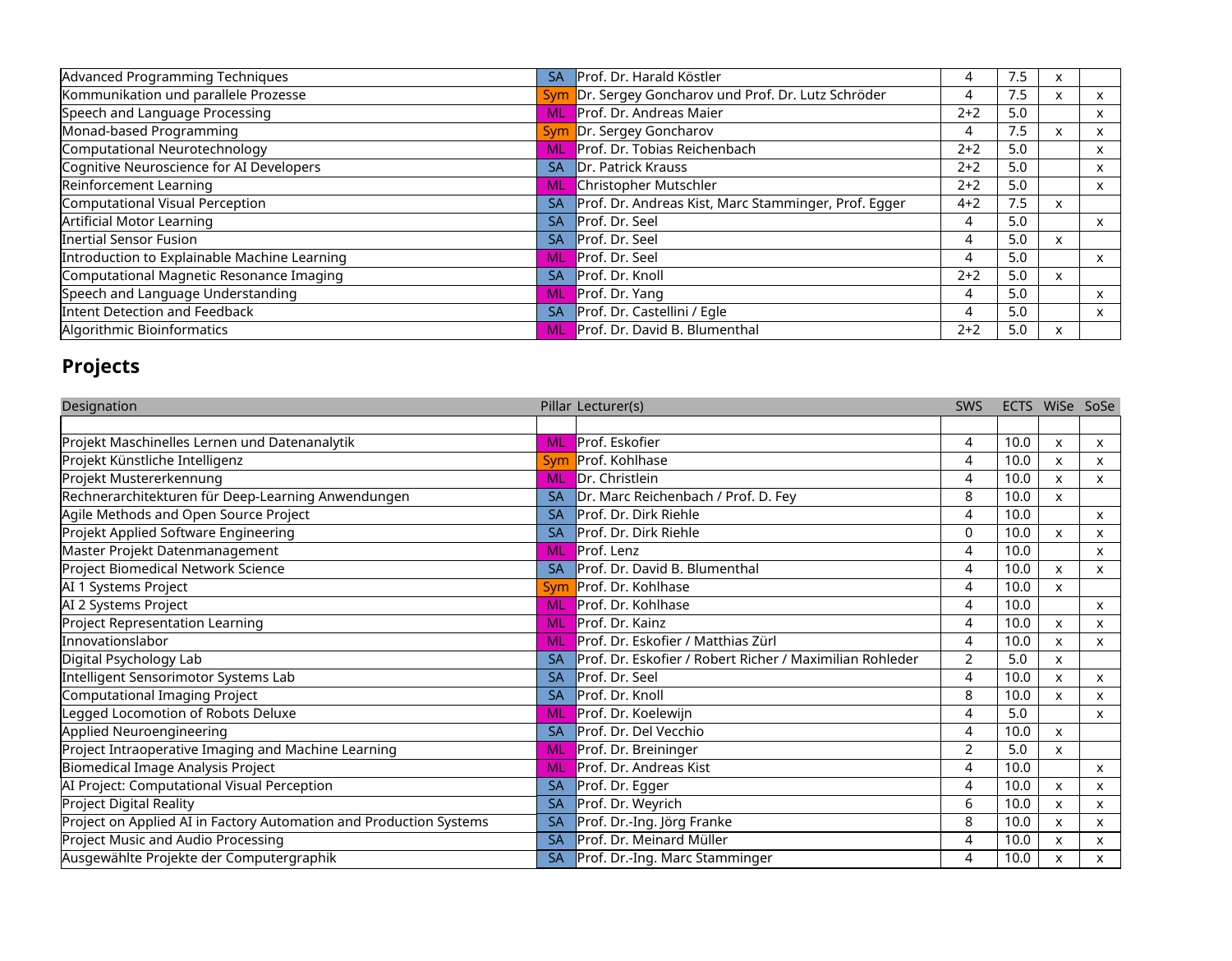| Advanced Programming Techniques              | <b>SA</b> | Prof. Dr. Harald Köstler                             | 4       | 7.5 |                           |    |
|----------------------------------------------|-----------|------------------------------------------------------|---------|-----|---------------------------|----|
| Kommunikation und parallele Prozesse         |           | Sym Dr. Sergey Goncharov und Prof. Dr. Lutz Schröder | 4       | 7.5 | $\boldsymbol{\mathsf{x}}$ | X  |
| Speech and Language Processing               | <b>ML</b> | Prof. Dr. Andreas Maier                              | $2+2$   | 5.0 |                           | X. |
| Monad-based Programming                      | Sym       | Dr. Sergey Goncharov                                 | 4       | 7.5 | $\boldsymbol{\mathsf{x}}$ | X  |
| Computational Neurotechnology                |           | Prof. Dr. Tobias Reichenbach                         | $2 + 2$ | 5.0 |                           | X. |
| Cognitive Neuroscience for AI Developers     | <b>SA</b> | Dr. Patrick Krauss                                   | $2+2$   | 5.0 |                           | x  |
| Reinforcement Learning                       | <b>ML</b> | Christopher Mutschler                                | $2 + 2$ | 5.0 |                           | X. |
| Computational Visual Perception              | <b>SA</b> | Prof. Dr. Andreas Kist, Marc Stamminger, Prof. Egger | $4 + 2$ | 7.5 | $\boldsymbol{\mathsf{x}}$ |    |
| <b>Artificial Motor Learning</b>             | <b>SA</b> | Prof. Dr. Seel                                       | 4       | 5.0 |                           | x  |
| Inertial Sensor Fusion                       | <b>SA</b> | Prof. Dr. Seel                                       | 4       | 5.0 | $\times$                  |    |
| Introduction to Explainable Machine Learning | <b>ML</b> | Prof. Dr. Seel                                       | 4       | 5.0 |                           | x. |
| Computational Magnetic Resonance Imaging     | <b>SA</b> | Prof. Dr. Knoll                                      | $2 + 2$ | 5.0 | $\times$                  |    |
| Speech and Language Understanding            | <b>ML</b> | <b>Prof. Dr. Yang</b>                                | 4       | 5.0 |                           | x  |
| Intent Detection and Feedback                | <b>SA</b> | Prof. Dr. Castellini / Egle                          | 4       | 5.0 |                           | X. |
| Algorithmic Bioinformatics                   | ML.       | Prof. Dr. David B. Blumenthal                        | $2 + 2$ | 5.0 | $\boldsymbol{\mathsf{x}}$ |    |

## **Projects**

| Designation                                                        |           | Pillar Lecturer(s)                                       | <b>SWS</b>     |      | ECTS WiSe SoSe |              |
|--------------------------------------------------------------------|-----------|----------------------------------------------------------|----------------|------|----------------|--------------|
|                                                                    |           |                                                          |                |      |                |              |
| Projekt Maschinelles Lernen und Datenanalytik                      | ML        | Prof. Eskofier                                           | 4              | 10.0 | X              | X            |
| Projekt Künstliche Intelligenz                                     | Sym       | Prof. Kohlhase                                           | 4              | 10.0 | X              | X            |
| Projekt Mustererkennung                                            | <b>ML</b> | Dr. Christlein                                           | 4              | 10.0 | X              | X            |
| Rechnerarchitekturen für Deep-Learning Anwendungen                 | <b>SA</b> | Dr. Marc Reichenbach / Prof. D. Fey                      | 8              | 10.0 | X.             |              |
| Agile Methods and Open Source Project                              | <b>SA</b> | Prof. Dr. Dirk Riehle                                    | 4              | 10.0 |                | X            |
| Projekt Applied Software Engineering                               | <b>SA</b> | Prof. Dr. Dirk Riehle                                    | 0              | 10.0 | X              | X            |
| Master Projekt Datenmanagement                                     | <b>ML</b> | Prof. Lenz                                               | 4              | 10.0 |                | x            |
| Project Biomedical Network Science                                 | <b>SA</b> | Prof. Dr. David B. Blumenthal                            | 4              | 10.0 | X              | X            |
| AI 1 Systems Project                                               | Sym       | Prof. Dr. Kohlhase                                       | 4              | 10.0 | $\mathsf{X}$   |              |
| AI 2 Systems Project                                               | ML        | Prof. Dr. Kohlhase                                       | 4              | 10.0 |                | X            |
| <b>Project Representation Learning</b>                             | <b>ML</b> | Prof. Dr. Kainz                                          | 4              | 10.0 | X              | X            |
| Innovationslabor                                                   | <b>ML</b> | Prof. Dr. Eskofier / Matthias Zürl                       | 4              | 10.0 | X              | X            |
| Digital Psychology Lab                                             | <b>SA</b> | Prof. Dr. Eskofier / Robert Richer / Maximilian Rohleder | $\overline{2}$ | 5.0  | X              |              |
| Intelligent Sensorimotor Systems Lab                               | <b>SA</b> | Prof. Dr. Seel                                           | 4              | 10.0 | X              | X            |
| Computational Imaging Project                                      | <b>SA</b> | Prof. Dr. Knoll                                          | 8              | 10.0 | X              | x            |
| Legged Locomotion of Robots Deluxe                                 | <b>ML</b> | Prof. Dr. Koelewijn                                      | 4              | 5.0  |                | X            |
| Applied Neuroengineering                                           | <b>SA</b> | Prof. Dr. Del Vecchio                                    | 4              | 10.0 | X              |              |
| Project Intraoperative Imaging and Machine Learning                | <b>ML</b> | Prof. Dr. Breininger                                     | $\overline{2}$ | 5.0  | $\pmb{\times}$ |              |
| <b>Biomedical Image Analysis Project</b>                           | <b>ML</b> | Prof. Dr. Andreas Kist                                   | 4              | 10.0 |                | $\mathsf{x}$ |
| AI Project: Computational Visual Perception                        | <b>SA</b> | Prof. Dr. Egger                                          | 4              | 10.0 | X              | X            |
| <b>Project Digital Reality</b>                                     | <b>SA</b> | Prof. Dr. Weyrich                                        | 6              | 10.0 | X              | X            |
| Project on Applied AI in Factory Automation and Production Systems | <b>SA</b> | Prof. Dr.-Ing. Jörg Franke                               | 8              | 10.0 | X              | X            |
| Project Music and Audio Processing                                 | <b>SA</b> | Prof. Dr. Meinard Müller                                 | 4              | 10.0 | X              | X            |
| Ausgewählte Projekte der Computergraphik                           | <b>SA</b> | Prof. Dr.-Ing. Marc Stamminger                           | 4              | 10.0 | X              | X            |